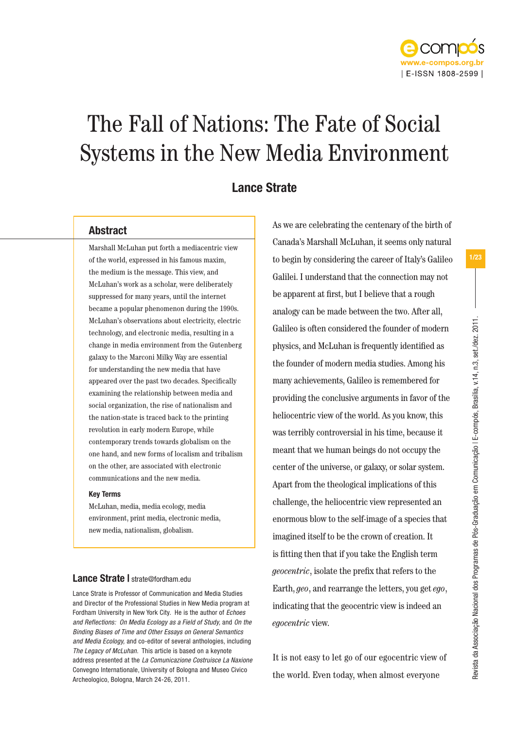

# The Fall of Nations: The Fate of Social Systems in the New Media Environment

# Lance Strate

## Abstract

Marshall McLuhan put forth a mediacentric view of the world, expressed in his famous maxim, the medium is the message. This view, and McLuhan's work as a scholar, were deliberately suppressed for many years, until the internet became a popular phenomenon during the 1990s. McLuhan's observations about electricity, electric technology, and electronic media, resulting in a change in media environment from the Gutenberg galaxy to the Marconi Milky Way are essential for understanding the new media that have appeared over the past two decades. Specifically examining the relationship between media and social organization, the rise of nationalism and the nation-state is traced back to the printing revolution in early modern Europe, while contemporary trends towards globalism on the one hand, and new forms of localism and tribalism on the other, are associated with electronic communications and the new media.

## Key Terms

McLuhan, media, media ecology, media environment, print media, electronic media, new media, nationalism, globalism.

## Lance Strate | strate@fordham.edu

Lance Strate is Professor of Communication and Media Studies and Director of the Professional Studies in New Media program at Fordham University in New York City. He is the author of *Echoes and Reflections: On Media Ecology as a Field of Study,* and *On the Binding Biases of Time and Other Essays on General Semantics and Media Ecology,* and co-editor of several anthologies, including *The Legacy of McLuhan.* This article is based on a keynote address presented at the *La Comunicazione Costruisce La Naxione*  Convegno Internationale, University of Bologna and Museo Civico Archeologico, Bologna, March 24-26, 2011.

As we are celebrating the centenary of the birth of Canada's Marshall McLuhan, it seems only natural to begin by considering the career of Italy's Galileo Galilei. I understand that the connection may not be apparent at first, but I believe that a rough analogy can be made between the two. After all, Galileo is often considered the founder of modern physics, and McLuhan is frequently identified as the founder of modern media studies. Among his many achievements, Galileo is remembered for providing the conclusive arguments in favor of the heliocentric view of the world. As you know, this was terribly controversial in his time, because it meant that we human beings do not occupy the center of the universe, or galaxy, or solar system. Apart from the theological implications of this challenge, the heliocentric view represented an enormous blow to the self-image of a species that imagined itself to be the crown of creation. It is fitting then that if you take the English term *geocentric*, isolate the prefix that refers to the Earth, *geo*, and rearrange the letters, you get *ego*, indicating that the geocentric view is indeed an *egocentric* view.

It is not easy to let go of our egocentric view of the world. Even today, when almost everyone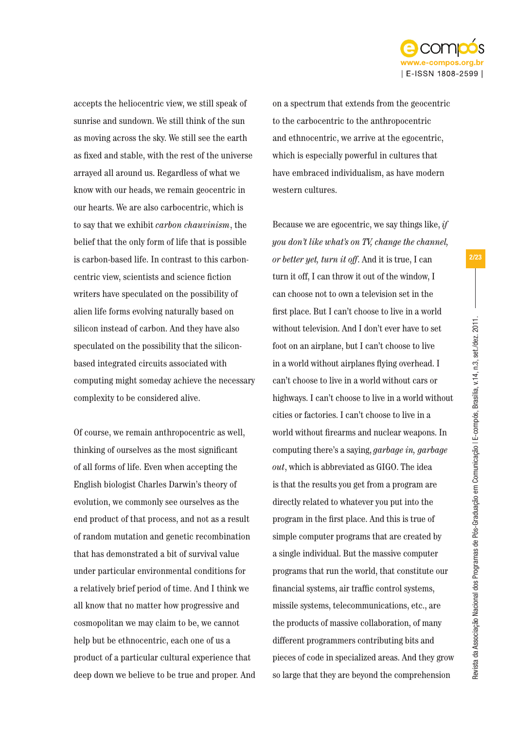

accepts the heliocentric view, we still speak of sunrise and sundown. We still think of the sun as moving across the sky. We still see the earth as fixed and stable, with the rest of the universe arrayed all around us. Regardless of what we know with our heads, we remain geocentric in our hearts. We are also carbocentric, which is to say that we exhibit *carbon chauvinism*, the belief that the only form of life that is possible is carbon-based life. In contrast to this carboncentric view, scientists and science fiction writers have speculated on the possibility of alien life forms evolving naturally based on silicon instead of carbon. And they have also speculated on the possibility that the siliconbased integrated circuits associated with computing might someday achieve the necessary complexity to be considered alive.

Of course, we remain anthropocentric as well, thinking of ourselves as the most significant of all forms of life. Even when accepting the English biologist Charles Darwin's theory of evolution, we commonly see ourselves as the end product of that process, and not as a result of random mutation and genetic recombination that has demonstrated a bit of survival value under particular environmental conditions for a relatively brief period of time. And I think we all know that no matter how progressive and cosmopolitan we may claim to be, we cannot help but be ethnocentric, each one of us a product of a particular cultural experience that deep down we believe to be true and proper. And on a spectrum that extends from the geocentric to the carbocentric to the anthropocentric and ethnocentric, we arrive at the egocentric, which is especially powerful in cultures that have embraced individualism, as have modern western cultures.

Because we are egocentric, we say things like, *if you don't like what's on TV, change the channel, or better yet, turn it off*. And it is true, I can turn it off, I can throw it out of the window, I can choose not to own a television set in the first place. But I can't choose to live in a world without television. And I don't ever have to set foot on an airplane, but I can't choose to live in a world without airplanes flying overhead. I can't choose to live in a world without cars or highways. I can't choose to live in a world without cities or factories. I can't choose to live in a world without firearms and nuclear weapons. In computing there's a saying, *garbage in, garbage out*, which is abbreviated as GIGO. The idea is that the results you get from a program are directly related to whatever you put into the program in the first place. And this is true of simple computer programs that are created by a single individual. But the massive computer programs that run the world, that constitute our financial systems, air traffic control systems, missile systems, telecommunications, etc., are the products of massive collaboration, of many different programmers contributing bits and pieces of code in specialized areas. And they grow so large that they are beyond the comprehension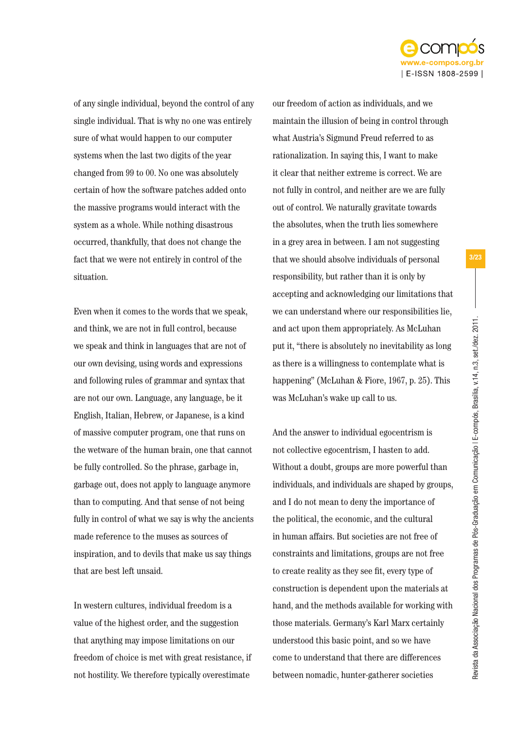

of any single individual, beyond the control of any single individual. That is why no one was entirely sure of what would happen to our computer systems when the last two digits of the year changed from 99 to 00. No one was absolutely certain of how the software patches added onto the massive programs would interact with the system as a whole. While nothing disastrous occurred, thankfully, that does not change the fact that we were not entirely in control of the situation.

Even when it comes to the words that we speak, and think, we are not in full control, because we speak and think in languages that are not of our own devising, using words and expressions and following rules of grammar and syntax that are not our own. Language, any language, be it English, Italian, Hebrew, or Japanese, is a kind of massive computer program, one that runs on the wetware of the human brain, one that cannot be fully controlled. So the phrase, garbage in, garbage out, does not apply to language anymore than to computing. And that sense of not being fully in control of what we say is why the ancients made reference to the muses as sources of inspiration, and to devils that make us say things that are best left unsaid.

In western cultures, individual freedom is a value of the highest order, and the suggestion that anything may impose limitations on our freedom of choice is met with great resistance, if not hostility. We therefore typically overestimate

our freedom of action as individuals, and we maintain the illusion of being in control through what Austria's Sigmund Freud referred to as rationalization. In saying this, I want to make it clear that neither extreme is correct. We are not fully in control, and neither are we are fully out of control. We naturally gravitate towards the absolutes, when the truth lies somewhere in a grey area in between. I am not suggesting that we should absolve individuals of personal responsibility, but rather than it is only by accepting and acknowledging our limitations that we can understand where our responsibilities lie, and act upon them appropriately. As McLuhan put it, "there is absolutely no inevitability as long as there is a willingness to contemplate what is happening" (McLuhan & Fiore, 1967, p. 25). This was McLuhan's wake up call to us.

And the answer to individual egocentrism is not collective egocentrism, I hasten to add. Without a doubt, groups are more powerful than individuals, and individuals are shaped by groups, and I do not mean to deny the importance of the political, the economic, and the cultural in human affairs. But societies are not free of constraints and limitations, groups are not free to create reality as they see fit, every type of construction is dependent upon the materials at hand, and the methods available for working with those materials. Germany's Karl Marx certainly understood this basic point, and so we have come to understand that there are differences between nomadic, hunter-gatherer societies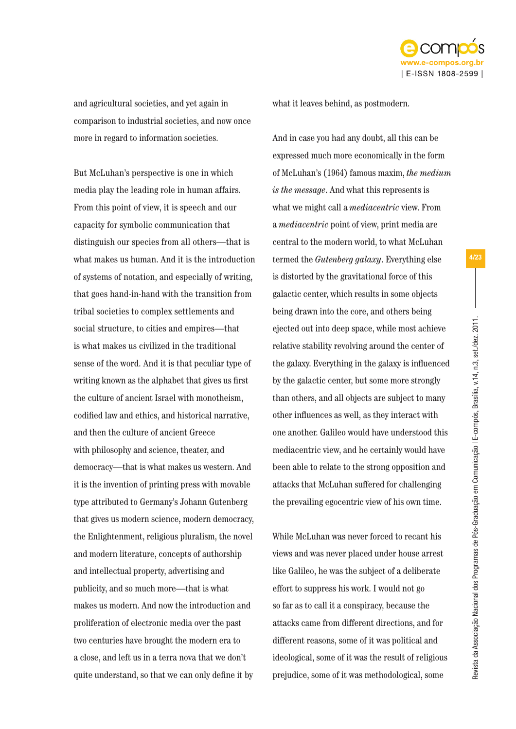

and agricultural societies, and yet again in comparison to industrial societies, and now once more in regard to information societies.

But McLuhan's perspective is one in which media play the leading role in human affairs. From this point of view, it is speech and our capacity for symbolic communication that distinguish our species from all others—that is what makes us human. And it is the introduction of systems of notation, and especially of writing, that goes hand-in-hand with the transition from tribal societies to complex settlements and social structure, to cities and empires—that is what makes us civilized in the traditional sense of the word. And it is that peculiar type of writing known as the alphabet that gives us first the culture of ancient Israel with monotheism, codified law and ethics, and historical narrative, and then the culture of ancient Greece with philosophy and science, theater, and democracy—that is what makes us western. And it is the invention of printing press with movable type attributed to Germany's Johann Gutenberg that gives us modern science, modern democracy, the Enlightenment, religious pluralism, the novel and modern literature, concepts of authorship and intellectual property, advertising and publicity, and so much more—that is what makes us modern. And now the introduction and proliferation of electronic media over the past two centuries have brought the modern era to a close, and left us in a terra nova that we don't quite understand, so that we can only define it by

what it leaves behind, as postmodern.

And in case you had any doubt, all this can be expressed much more economically in the form of McLuhan's (1964) famous maxim, *the medium is the message*. And what this represents is what we might call a *mediacentric* view. From a *mediacentric* point of view, print media are central to the modern world, to what McLuhan termed the *Gutenberg galaxy*. Everything else is distorted by the gravitational force of this galactic center, which results in some objects being drawn into the core, and others being ejected out into deep space, while most achieve relative stability revolving around the center of the galaxy. Everything in the galaxy is influenced by the galactic center, but some more strongly than others, and all objects are subject to many other influences as well, as they interact with one another. Galileo would have understood this mediacentric view, and he certainly would have been able to relate to the strong opposition and attacks that McLuhan suffered for challenging the prevailing egocentric view of his own time.

While McLuhan was never forced to recant his views and was never placed under house arrest like Galileo, he was the subject of a deliberate effort to suppress his work. I would not go so far as to call it a conspiracy, because the attacks came from different directions, and for different reasons, some of it was political and ideological, some of it was the result of religious prejudice, some of it was methodological, some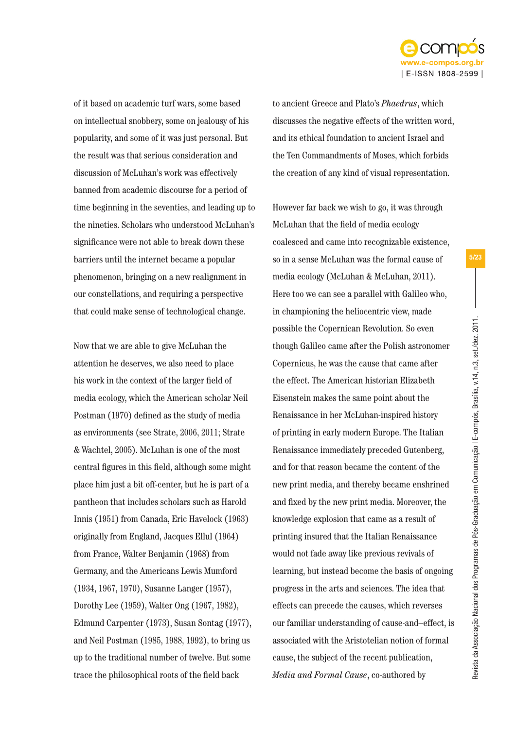

Revista da Associação Nacional dos Programas de Pós-Graduação em Comunicação | E-compós, Brasília, v.14, n.3, set./dez. 2011.

Revista da Associação Nacional dos Programas de Pós-Graduação em Comunicação I E-compós, Brasília, v.14, n.3, set./dez. 2011.

5/23

of it based on academic turf wars, some based on intellectual snobbery, some on jealousy of his popularity, and some of it was just personal. But the result was that serious consideration and discussion of McLuhan's work was effectively banned from academic discourse for a period of time beginning in the seventies, and leading up to the nineties. Scholars who understood McLuhan's significance were not able to break down these barriers until the internet became a popular phenomenon, bringing on a new realignment in our constellations, and requiring a perspective that could make sense of technological change.

Now that we are able to give McLuhan the attention he deserves, we also need to place his work in the context of the larger field of media ecology, which the American scholar Neil Postman (1970) defined as the study of media as environments (see Strate, 2006, 2011; Strate & Wachtel, 2005). McLuhan is one of the most central figures in this field, although some might place him just a bit off-center, but he is part of a pantheon that includes scholars such as Harold Innis (1951) from Canada, Eric Havelock (1963) originally from England, Jacques Ellul (1964) from France, Walter Benjamin (1968) from Germany, and the Americans Lewis Mumford (1934, 1967, 1970), Susanne Langer (1957), Dorothy Lee (1959), Walter Ong (1967, 1982), Edmund Carpenter (1973), Susan Sontag (1977), and Neil Postman (1985, 1988, 1992), to bring us up to the traditional number of twelve. But some trace the philosophical roots of the field back

to ancient Greece and Plato's *Phaedrus*, which discusses the negative effects of the written word, and its ethical foundation to ancient Israel and the Ten Commandments of Moses, which forbids the creation of any kind of visual representation.

However far back we wish to go, it was through McLuhan that the field of media ecology coalesced and came into recognizable existence, so in a sense McLuhan was the formal cause of media ecology (McLuhan & McLuhan, 2011). Here too we can see a parallel with Galileo who, in championing the heliocentric view, made possible the Copernican Revolution. So even though Galileo came after the Polish astronomer Copernicus, he was the cause that came after the effect. The American historian Elizabeth Eisenstein makes the same point about the Renaissance in her McLuhan-inspired history of printing in early modern Europe. The Italian Renaissance immediately preceded Gutenberg, and for that reason became the content of the new print media, and thereby became enshrined and fixed by the new print media. Moreover, the knowledge explosion that came as a result of printing insured that the Italian Renaissance would not fade away like previous revivals of learning, but instead become the basis of ongoing progress in the arts and sciences. The idea that effects can precede the causes, which reverses our familiar understanding of cause-and–effect, is associated with the Aristotelian notion of formal cause, the subject of the recent publication, *Media and Formal Cause*, co-authored by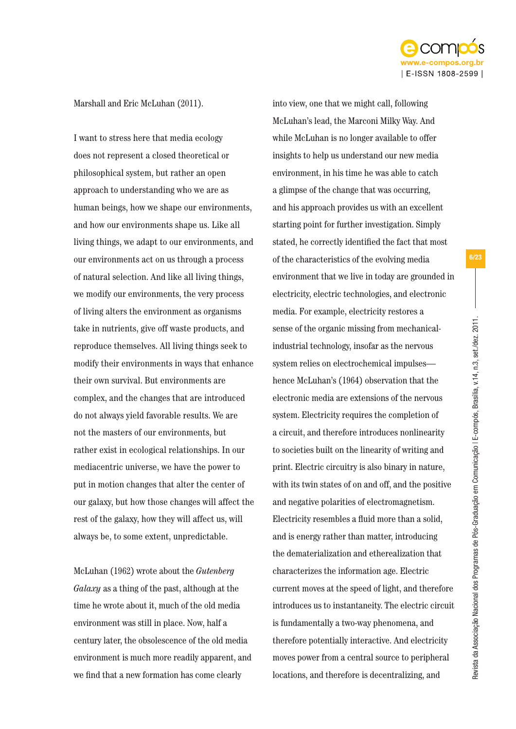

## Marshall and Eric McLuhan (2011).

I want to stress here that media ecology does not represent a closed theoretical or philosophical system, but rather an open approach to understanding who we are as human beings, how we shape our environments, and how our environments shape us. Like all living things, we adapt to our environments, and our environments act on us through a process of natural selection. And like all living things, we modify our environments, the very process of living alters the environment as organisms take in nutrients, give off waste products, and reproduce themselves. All living things seek to modify their environments in ways that enhance their own survival. But environments are complex, and the changes that are introduced do not always yield favorable results. We are not the masters of our environments, but rather exist in ecological relationships. In our mediacentric universe, we have the power to put in motion changes that alter the center of our galaxy, but how those changes will affect the rest of the galaxy, how they will affect us, will always be, to some extent, unpredictable.

McLuhan (1962) wrote about the *Gutenberg Galaxy* as a thing of the past, although at the time he wrote about it, much of the old media environment was still in place. Now, half a century later, the obsolescence of the old media environment is much more readily apparent, and we find that a new formation has come clearly

into view, one that we might call, following McLuhan's lead, the Marconi Milky Way. And while McLuhan is no longer available to offer insights to help us understand our new media environment, in his time he was able to catch a glimpse of the change that was occurring, and his approach provides us with an excellent starting point for further investigation. Simply stated, he correctly identified the fact that most of the characteristics of the evolving media environment that we live in today are grounded in electricity, electric technologies, and electronic media. For example, electricity restores a sense of the organic missing from mechanicalindustrial technology, insofar as the nervous system relies on electrochemical impulses hence McLuhan's (1964) observation that the electronic media are extensions of the nervous system. Electricity requires the completion of a circuit, and therefore introduces nonlinearity to societies built on the linearity of writing and print. Electric circuitry is also binary in nature, with its twin states of on and off, and the positive and negative polarities of electromagnetism. Electricity resembles a fluid more than a solid, and is energy rather than matter, introducing the dematerialization and etherealization that characterizes the information age. Electric current moves at the speed of light, and therefore introduces us to instantaneity. The electric circuit is fundamentally a two-way phenomena, and therefore potentially interactive. And electricity moves power from a central source to peripheral locations, and therefore is decentralizing, and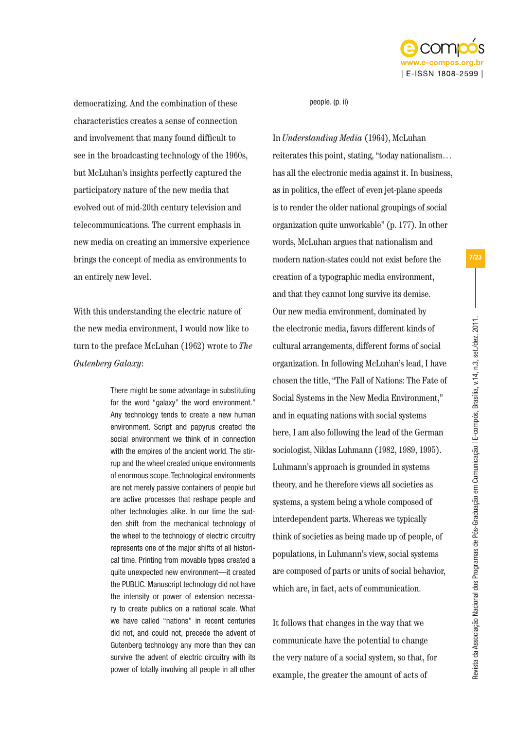

democratizing. And the combination of these characteristics creates a sense of connection and involvement that many found difficult to see in the broadcasting technology of the 1960s, but McLuhan's insights perfectly captured the participatory nature of the new media that evolved out of mid-20th century television and telecommunications. The current emphasis in new media on creating an immersive experience brings the concept of media as environments to an entirely new level.

With this understanding the electric nature of the new media environment, I would now like to turn to the preface McLuhan (1962) wrote to *The Gutenberg Galaxy*:

> There might be some advantage in substituting for the word "galaxy" the word environment." Any technology tends to create a new human environment. Script and papyrus created the social environment we think of in connection with the empires of the ancient world. The stirrup and the wheel created unique environments of enormous scope. Technological environments are not merely passive containers of people but are active processes that reshape people and other technologies alike. In our time the sudden shift from the mechanical technology of the wheel to the technology of electric circuitry represents one of the major shifts of all historical time. Printing from movable types created a quite unexpected new environment—it created the PUBLIC. Manuscript technology did not have the intensity or power of extension necessary to create publics on a national scale. What we have called "nations" in recent centuries did not, and could not, precede the advent of Gutenberg technology any more than they can survive the advent of electric circuitry with its power of totally involving all people in all other

#### people. (p. ii)

In *Understanding Media* (1964), McLuhan reiterates this point, stating, "today nationalism… has all the electronic media against it. In business, as in politics, the effect of even jet-plane speeds is to render the older national groupings of social organization quite unworkable" (p. 177). In other words, McLuhan argues that nationalism and modern nation-states could not exist before the creation of a typographic media environment, and that they cannot long survive its demise. Our new media environment, dominated by the electronic media, favors different kinds of cultural arrangements, different forms of social organization. In following McLuhan's lead, I have chosen the title, "The Fall of Nations: The Fate of Social Systems in the New Media Environment," and in equating nations with social systems here, I am also following the lead of the German sociologist, Niklas Luhmann (1982, 1989, 1995). Luhmann's approach is grounded in systems theory, and he therefore views all societies as systems, a system being a whole composed of interdependent parts. Whereas we typically think of societies as being made up of people, of populations, in Luhmann's view, social systems are composed of parts or units of social behavior, which are, in fact, acts of communication.

It follows that changes in the way that we communicate have the potential to change the very nature of a social system, so that, for example, the greater the amount of acts of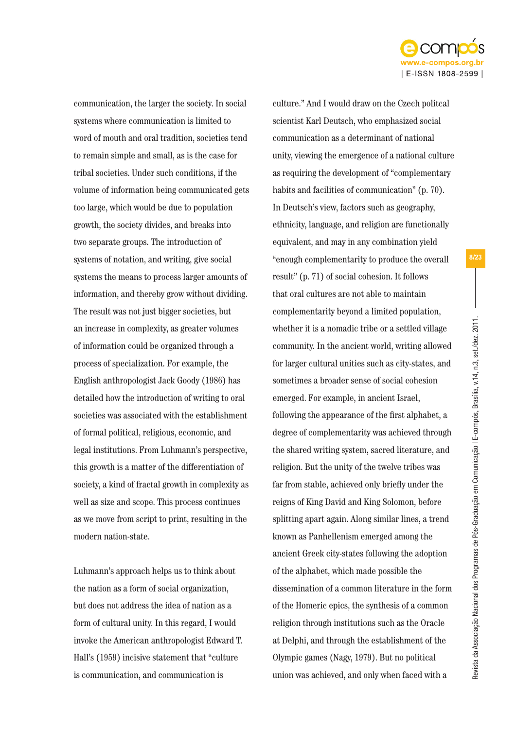

communication, the larger the society. In social systems where communication is limited to word of mouth and oral tradition, societies tend to remain simple and small, as is the case for tribal societies. Under such conditions, if the volume of information being communicated gets too large, which would be due to population growth, the society divides, and breaks into two separate groups. The introduction of systems of notation, and writing, give social systems the means to process larger amounts of information, and thereby grow without dividing. The result was not just bigger societies, but an increase in complexity, as greater volumes of information could be organized through a process of specialization. For example, the English anthropologist Jack Goody (1986) has detailed how the introduction of writing to oral societies was associated with the establishment of formal political, religious, economic, and legal institutions. From Luhmann's perspective, this growth is a matter of the differentiation of society, a kind of fractal growth in complexity as well as size and scope. This process continues as we move from script to print, resulting in the modern nation-state.

Luhmann's approach helps us to think about the nation as a form of social organization, but does not address the idea of nation as a form of cultural unity. In this regard, I would invoke the American anthropologist Edward T. Hall's (1959) incisive statement that "culture is communication, and communication is

culture." And I would draw on the Czech politcal scientist Karl Deutsch, who emphasized social communication as a determinant of national unity, viewing the emergence of a national culture as requiring the development of "complementary habits and facilities of communication" (p. 70). In Deutsch's view, factors such as geography, ethnicity, language, and religion are functionally equivalent, and may in any combination yield "enough complementarity to produce the overall result" (p. 71) of social cohesion. It follows that oral cultures are not able to maintain complementarity beyond a limited population, whether it is a nomadic tribe or a settled village community. In the ancient world, writing allowed for larger cultural unities such as city-states, and sometimes a broader sense of social cohesion emerged. For example, in ancient Israel, following the appearance of the first alphabet, a degree of complementarity was achieved through the shared writing system, sacred literature, and religion. But the unity of the twelve tribes was far from stable, achieved only briefly under the reigns of King David and King Solomon, before splitting apart again. Along similar lines, a trend known as Panhellenism emerged among the ancient Greek city-states following the adoption of the alphabet, which made possible the dissemination of a common literature in the form of the Homeric epics, the synthesis of a common religion through institutions such as the Oracle at Delphi, and through the establishment of the Olympic games (Nagy, 1979). But no political union was achieved, and only when faced with a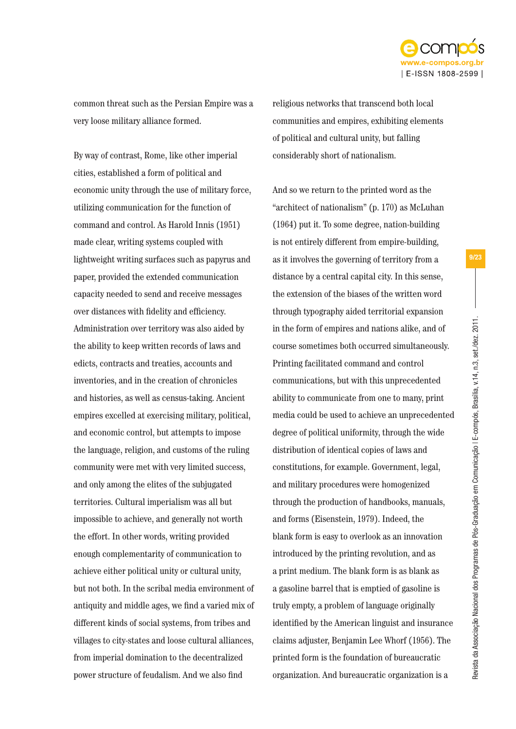

common threat such as the Persian Empire was a very loose military alliance formed.

By way of contrast, Rome, like other imperial cities, established a form of political and economic unity through the use of military force, utilizing communication for the function of command and control. As Harold Innis (1951) made clear, writing systems coupled with lightweight writing surfaces such as papyrus and paper, provided the extended communication capacity needed to send and receive messages over distances with fidelity and efficiency. Administration over territory was also aided by the ability to keep written records of laws and edicts, contracts and treaties, accounts and inventories, and in the creation of chronicles and histories, as well as census-taking. Ancient empires excelled at exercising military, political, and economic control, but attempts to impose the language, religion, and customs of the ruling community were met with very limited success, and only among the elites of the subjugated territories. Cultural imperialism was all but impossible to achieve, and generally not worth the effort. In other words, writing provided enough complementarity of communication to achieve either political unity or cultural unity, but not both. In the scribal media environment of antiquity and middle ages, we find a varied mix of different kinds of social systems, from tribes and villages to city-states and loose cultural alliances, from imperial domination to the decentralized power structure of feudalism. And we also find

religious networks that transcend both local communities and empires, exhibiting elements of political and cultural unity, but falling considerably short of nationalism.

And so we return to the printed word as the "architect of nationalism" (p. 170) as McLuhan (1964) put it. To some degree, nation-building is not entirely different from empire-building, as it involves the governing of territory from a distance by a central capital city. In this sense, the extension of the biases of the written word through typography aided territorial expansion in the form of empires and nations alike, and of course sometimes both occurred simultaneously. Printing facilitated command and control communications, but with this unprecedented ability to communicate from one to many, print media could be used to achieve an unprecedented degree of political uniformity, through the wide distribution of identical copies of laws and constitutions, for example. Government, legal, and military procedures were homogenized through the production of handbooks, manuals, and forms (Eisenstein, 1979). Indeed, the blank form is easy to overlook as an innovation introduced by the printing revolution, and as a print medium. The blank form is as blank as a gasoline barrel that is emptied of gasoline is truly empty, a problem of language originally identified by the American linguist and insurance claims adjuster, Benjamin Lee Whorf (1956). The printed form is the foundation of bureaucratic organization. And bureaucratic organization is a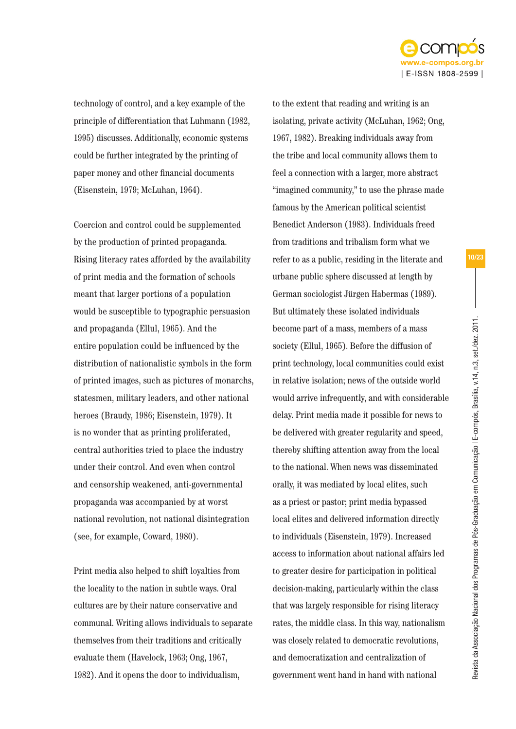

technology of control, and a key example of the principle of differentiation that Luhmann (1982, 1995) discusses. Additionally, economic systems could be further integrated by the printing of paper money and other financial documents (Eisenstein, 1979; McLuhan, 1964).

Coercion and control could be supplemented by the production of printed propaganda. Rising literacy rates afforded by the availability of print media and the formation of schools meant that larger portions of a population would be susceptible to typographic persuasion and propaganda (Ellul, 1965). And the entire population could be influenced by the distribution of nationalistic symbols in the form of printed images, such as pictures of monarchs, statesmen, military leaders, and other national heroes (Braudy, 1986; Eisenstein, 1979). It is no wonder that as printing proliferated, central authorities tried to place the industry under their control. And even when control and censorship weakened, anti-governmental propaganda was accompanied by at worst national revolution, not national disintegration (see, for example, Coward, 1980).

Print media also helped to shift loyalties from the locality to the nation in subtle ways. Oral cultures are by their nature conservative and communal. Writing allows individuals to separate themselves from their traditions and critically evaluate them (Havelock, 1963; Ong, 1967, 1982). And it opens the door to individualism,

to the extent that reading and writing is an isolating, private activity (McLuhan, 1962; Ong, 1967, 1982). Breaking individuals away from the tribe and local community allows them to feel a connection with a larger, more abstract "imagined community," to use the phrase made famous by the American political scientist Benedict Anderson (1983). Individuals freed from traditions and tribalism form what we refer to as a public, residing in the literate and urbane public sphere discussed at length by German sociologist Jürgen Habermas (1989). But ultimately these isolated individuals become part of a mass, members of a mass society (Ellul, 1965). Before the diffusion of print technology, local communities could exist in relative isolation; news of the outside world would arrive infrequently, and with considerable delay. Print media made it possible for news to be delivered with greater regularity and speed, thereby shifting attention away from the local to the national. When news was disseminated orally, it was mediated by local elites, such as a priest or pastor; print media bypassed local elites and delivered information directly to individuals (Eisenstein, 1979). Increased access to information about national affairs led to greater desire for participation in political decision-making, particularly within the class that was largely responsible for rising literacy rates, the middle class. In this way, nationalism was closely related to democratic revolutions, and democratization and centralization of government went hand in hand with national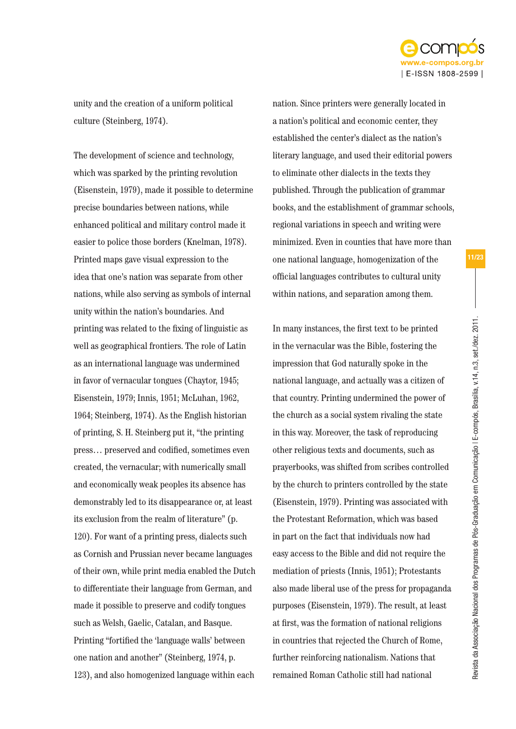

unity and the creation of a uniform political culture (Steinberg, 1974).

The development of science and technology, which was sparked by the printing revolution (Eisenstein, 1979), made it possible to determine precise boundaries between nations, while enhanced political and military control made it easier to police those borders (Knelman, 1978). Printed maps gave visual expression to the idea that one's nation was separate from other nations, while also serving as symbols of internal unity within the nation's boundaries. And printing was related to the fixing of linguistic as well as geographical frontiers. The role of Latin as an international language was undermined in favor of vernacular tongues (Chaytor, 1945; Eisenstein, 1979; Innis, 1951; McLuhan, 1962, 1964; Steinberg, 1974). As the English historian of printing, S. H. Steinberg put it, "the printing press… preserved and codified, sometimes even created, the vernacular; with numerically small and economically weak peoples its absence has demonstrably led to its disappearance or, at least its exclusion from the realm of literature" (p. 120). For want of a printing press, dialects such as Cornish and Prussian never became languages of their own, while print media enabled the Dutch to differentiate their language from German, and made it possible to preserve and codify tongues such as Welsh, Gaelic, Catalan, and Basque. Printing "fortified the 'language walls' between one nation and another" (Steinberg, 1974, p. 123), and also homogenized language within each

nation. Since printers were generally located in a nation's political and economic center, they established the center's dialect as the nation's literary language, and used their editorial powers to eliminate other dialects in the texts they published. Through the publication of grammar books, and the establishment of grammar schools, regional variations in speech and writing were minimized. Even in counties that have more than one national language, homogenization of the official languages contributes to cultural unity within nations, and separation among them.

In many instances, the first text to be printed in the vernacular was the Bible, fostering the impression that God naturally spoke in the national language, and actually was a citizen of that country. Printing undermined the power of the church as a social system rivaling the state in this way. Moreover, the task of reproducing other religious texts and documents, such as prayerbooks, was shifted from scribes controlled by the church to printers controlled by the state (Eisenstein, 1979). Printing was associated with the Protestant Reformation, which was based in part on the fact that individuals now had easy access to the Bible and did not require the mediation of priests (Innis, 1951); Protestants also made liberal use of the press for propaganda purposes (Eisenstein, 1979). The result, at least at first, was the formation of national religions in countries that rejected the Church of Rome, further reinforcing nationalism. Nations that remained Roman Catholic still had national

Revista da Associação Nacional dos Programas de Pós-Graduação em Comunicação | E-compós, Brasília, v.14, n.3, set./dez. 2011.

Revista da Associação Nacional dos Programas de Pós-Graduação em Comunicação I E-compós, Brasilia, v.14, n.3, set/dez. 2011.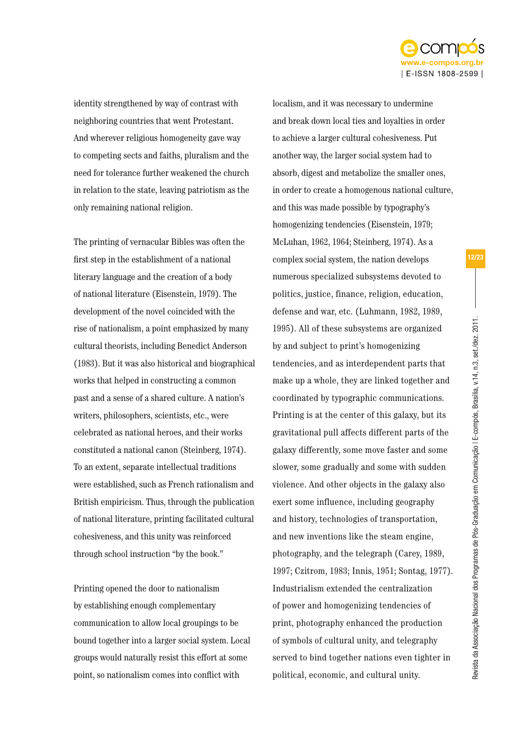

Revista da Associação Nacional dos Programas de Pós-Graduação em Comunicação | E-compós, Brasília, v.14, n.3, set./dez. 2011.

Revista da Associação Nacional dos Programas de Pós-Graduação em Comunicação I E-compós, Brasilia, v.14, n.3, set/dez. 2011.

12/23

identity strengthened by way of contrast with neighboring countries that went Protestant. And wherever religious homogeneity gave way to competing sects and faiths, pluralism and the need for tolerance further weakened the church in relation to the state, leaving patriotism as the only remaining national religion.

The printing of vernacular Bibles was often the first step in the establishment of a national literary language and the creation of a body of national literature (Eisenstein, 1979). The development of the novel coincided with the rise of nationalism, a point emphasized by many cultural theorists, including Benedict Anderson (1983). But it was also historical and biographical works that helped in constructing a common past and a sense of a shared culture. A nation's writers, philosophers, scientists, etc., were celebrated as national heroes, and their works constituted a national canon (Steinberg, 1974). To an extent, separate intellectual traditions were established, such as French rationalism and British empiricism. Thus, through the publication of national literature, printing facilitated cultural cohesiveness, and this unity was reinforced through school instruction "by the book."

Printing opened the door to nationalism by establishing enough complementary communication to allow local groupings to be bound together into a larger social system. Local groups would naturally resist this effort at some point, so nationalism comes into conflict with

localism, and it was necessary to undermine and break down local ties and loyalties in order to achieve a larger cultural cohesiveness. Put another way, the larger social system had to absorb, digest and metabolize the smaller ones, in order to create a homogenous national culture, and this was made possible by typography's homogenizing tendencies (Eisenstein, 1979; McLuhan, 1962, 1964; Steinberg, 1974). As a complex social system, the nation develops numerous specialized subsystems devoted to politics, justice, finance, religion, education, defense and war, etc. (Luhmann, 1982, 1989, 1995). All of these subsystems are organized by and subject to print's homogenizing tendencies, and as interdependent parts that make up a whole, they are linked together and coordinated by typographic communications. Printing is at the center of this galaxy, but its gravitational pull affects different parts of the galaxy differently, some move faster and some slower, some gradually and some with sudden violence. And other objects in the galaxy also exert some influence, including geography and history, technologies of transportation, and new inventions like the steam engine, photography, and the telegraph (Carey, 1989, 1997; Czitrom, 1983; Innis, 1951; Sontag, 1977). Industrialism extended the centralization of power and homogenizing tendencies of print, photography enhanced the production of symbols of cultural unity, and telegraphy served to bind together nations even tighter in political, economic, and cultural unity.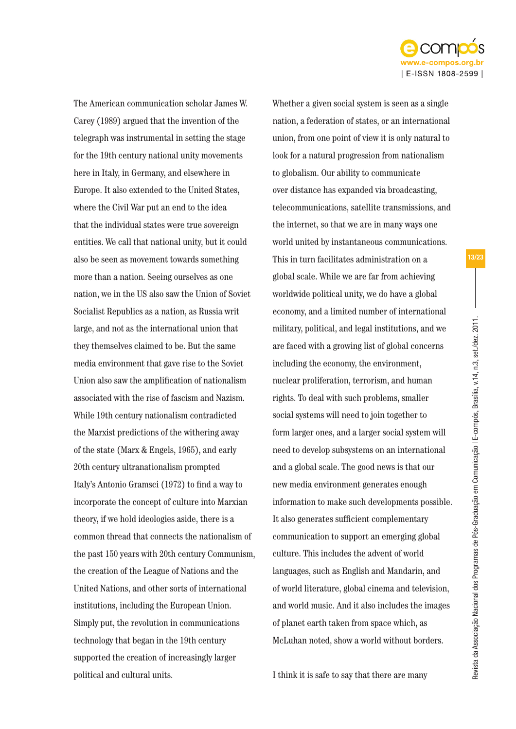

The American communication scholar James W. Carey (1989) argued that the invention of the telegraph was instrumental in setting the stage for the 19th century national unity movements here in Italy, in Germany, and elsewhere in Europe. It also extended to the United States, where the Civil War put an end to the idea that the individual states were true sovereign entities. We call that national unity, but it could also be seen as movement towards something more than a nation. Seeing ourselves as one nation, we in the US also saw the Union of Soviet Socialist Republics as a nation, as Russia writ large, and not as the international union that they themselves claimed to be. But the same media environment that gave rise to the Soviet Union also saw the amplification of nationalism associated with the rise of fascism and Nazism. While 19th century nationalism contradicted the Marxist predictions of the withering away of the state (Marx & Engels, 1965), and early 20th century ultranationalism prompted Italy's Antonio Gramsci (1972) to find a way to incorporate the concept of culture into Marxian theory, if we hold ideologies aside, there is a common thread that connects the nationalism of the past 150 years with 20th century Communism, the creation of the League of Nations and the United Nations, and other sorts of international institutions, including the European Union. Simply put, the revolution in communications technology that began in the 19th century supported the creation of increasingly larger political and cultural units.

Whether a given social system is seen as a single nation, a federation of states, or an international union, from one point of view it is only natural to look for a natural progression from nationalism to globalism. Our ability to communicate over distance has expanded via broadcasting, telecommunications, satellite transmissions, and the internet, so that we are in many ways one world united by instantaneous communications. This in turn facilitates administration on a global scale. While we are far from achieving worldwide political unity, we do have a global economy, and a limited number of international military, political, and legal institutions, and we are faced with a growing list of global concerns including the economy, the environment, nuclear proliferation, terrorism, and human rights. To deal with such problems, smaller social systems will need to join together to form larger ones, and a larger social system will need to develop subsystems on an international and a global scale. The good news is that our new media environment generates enough information to make such developments possible. It also generates sufficient complementary communication to support an emerging global culture. This includes the advent of world languages, such as English and Mandarin, and of world literature, global cinema and television, and world music. And it also includes the images of planet earth taken from space which, as McLuhan noted, show a world without borders.

Revista da Associação Nacional dos Programas de Pós-Graduação em Comunicação | E-compós, Brasília, v.14, n.3, set./dez. 2011.

Revista da Associação Nacional dos Programas de Pós-Graduação em Comunicação I E-compós, Brasília, v.14, n.3, set./dez. 2011.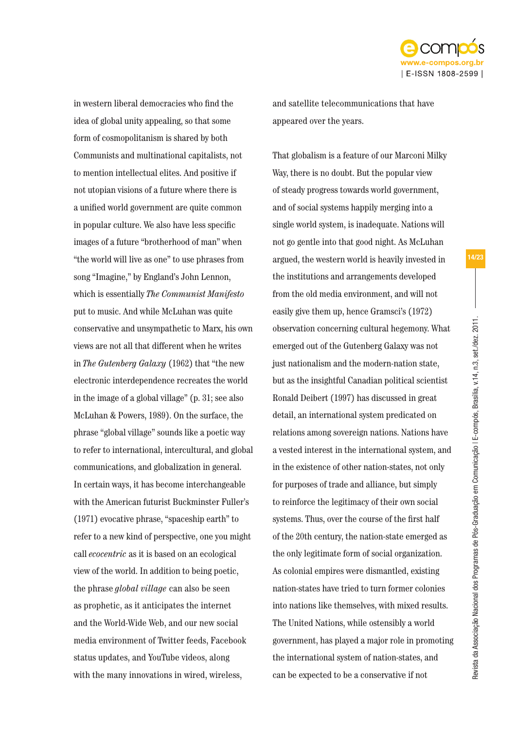

Revista da Associação Nacional dos Programas de Pós-Graduação em Comunicação | E-compós, Brasília, v.14, n.3, set./dez. 2011.

Revista da Associação Nacional dos Programas de Pós-Graduação em Comunicação I E-compós, Brasília, v.14, n.3, set./dez. 2011.

14/23

in western liberal democracies who find the idea of global unity appealing, so that some form of cosmopolitanism is shared by both Communists and multinational capitalists, not to mention intellectual elites. And positive if not utopian visions of a future where there is a unified world government are quite common in popular culture. We also have less specific images of a future "brotherhood of man" when "the world will live as one" to use phrases from song "Imagine," by England's John Lennon, which is essentially *The Communist Manifesto* put to music. And while McLuhan was quite conservative and unsympathetic to Marx, his own views are not all that different when he writes in *The Gutenberg Galaxy* (1962) that "the new electronic interdependence recreates the world in the image of a global village" (p. 31; see also McLuhan & Powers, 1989). On the surface, the phrase "global village" sounds like a poetic way to refer to international, intercultural, and global communications, and globalization in general. In certain ways, it has become interchangeable with the American futurist Buckminster Fuller's (1971) evocative phrase, "spaceship earth" to refer to a new kind of perspective, one you might call *ecocentric* as it is based on an ecological view of the world. In addition to being poetic, the phrase *global village* can also be seen as prophetic, as it anticipates the internet and the World-Wide Web, and our new social media environment of Twitter feeds, Facebook status updates, and YouTube videos, along with the many innovations in wired, wireless,

and satellite telecommunications that have appeared over the years.

That globalism is a feature of our Marconi Milky Way, there is no doubt. But the popular view of steady progress towards world government, and of social systems happily merging into a single world system, is inadequate. Nations will not go gentle into that good night. As McLuhan argued, the western world is heavily invested in the institutions and arrangements developed from the old media environment, and will not easily give them up, hence Gramsci's (1972) observation concerning cultural hegemony. What emerged out of the Gutenberg Galaxy was not just nationalism and the modern-nation state, but as the insightful Canadian political scientist Ronald Deibert (1997) has discussed in great detail, an international system predicated on relations among sovereign nations. Nations have a vested interest in the international system, and in the existence of other nation-states, not only for purposes of trade and alliance, but simply to reinforce the legitimacy of their own social systems. Thus, over the course of the first half of the 20th century, the nation-state emerged as the only legitimate form of social organization. As colonial empires were dismantled, existing nation-states have tried to turn former colonies into nations like themselves, with mixed results. The United Nations, while ostensibly a world government, has played a major role in promoting the international system of nation-states, and can be expected to be a conservative if not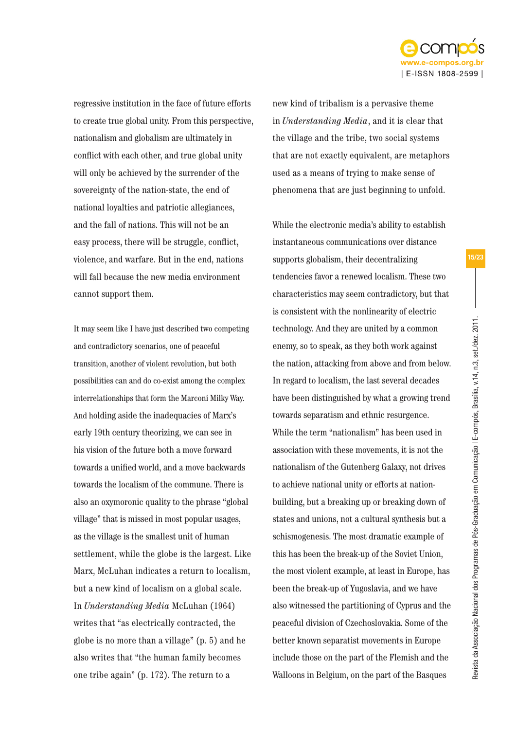

regressive institution in the face of future efforts to create true global unity. From this perspective, nationalism and globalism are ultimately in conflict with each other, and true global unity will only be achieved by the surrender of the sovereignty of the nation-state, the end of national loyalties and patriotic allegiances, and the fall of nations. This will not be an easy process, there will be struggle, conflict, violence, and warfare. But in the end, nations will fall because the new media environment cannot support them.

It may seem like I have just described two competing and contradictory scenarios, one of peaceful transition, another of violent revolution, but both possibilities can and do co-exist among the complex interrelationships that form the Marconi Milky Way. And holding aside the inadequacies of Marx's early 19th century theorizing, we can see in his vision of the future both a move forward towards a unified world, and a move backwards towards the localism of the commune. There is also an oxymoronic quality to the phrase "global village" that is missed in most popular usages, as the village is the smallest unit of human settlement, while the globe is the largest. Like Marx, McLuhan indicates a return to localism, but a new kind of localism on a global scale. In *Understanding Media* McLuhan (1964) writes that "as electrically contracted, the globe is no more than a village" (p. 5) and he also writes that "the human family becomes one tribe again" (p. 172). The return to a

new kind of tribalism is a pervasive theme in *Understanding Media*, and it is clear that the village and the tribe, two social systems that are not exactly equivalent, are metaphors used as a means of trying to make sense of phenomena that are just beginning to unfold.

While the electronic media's ability to establish instantaneous communications over distance supports globalism, their decentralizing tendencies favor a renewed localism. These two characteristics may seem contradictory, but that is consistent with the nonlinearity of electric technology. And they are united by a common enemy, so to speak, as they both work against the nation, attacking from above and from below. In regard to localism, the last several decades have been distinguished by what a growing trend towards separatism and ethnic resurgence. While the term "nationalism" has been used in association with these movements, it is not the nationalism of the Gutenberg Galaxy, not drives to achieve national unity or efforts at nationbuilding, but a breaking up or breaking down of states and unions, not a cultural synthesis but a schismogenesis. The most dramatic example of this has been the break-up of the Soviet Union, the most violent example, at least in Europe, has been the break-up of Yugoslavia, and we have also witnessed the partitioning of Cyprus and the peaceful division of Czechoslovakia. Some of the better known separatist movements in Europe include those on the part of the Flemish and the Walloons in Belgium, on the part of the Basques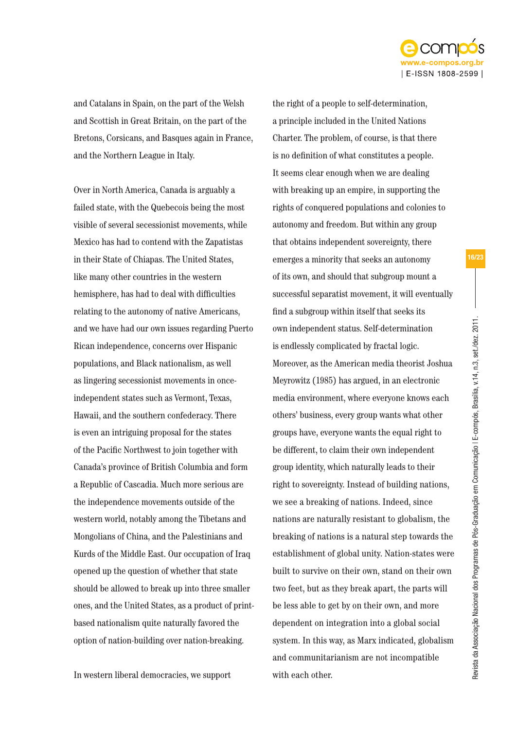

and Catalans in Spain, on the part of the Welsh and Scottish in Great Britain, on the part of the Bretons, Corsicans, and Basques again in France, and the Northern League in Italy.

Over in North America, Canada is arguably a failed state, with the Quebecois being the most visible of several secessionist movements, while Mexico has had to contend with the Zapatistas in their State of Chiapas. The United States, like many other countries in the western hemisphere, has had to deal with difficulties relating to the autonomy of native Americans, and we have had our own issues regarding Puerto Rican independence, concerns over Hispanic populations, and Black nationalism, as well as lingering secessionist movements in onceindependent states such as Vermont, Texas, Hawaii, and the southern confederacy. There is even an intriguing proposal for the states of the Pacific Northwest to join together with Canada's province of British Columbia and form a Republic of Cascadia. Much more serious are the independence movements outside of the western world, notably among the Tibetans and Mongolians of China, and the Palestinians and Kurds of the Middle East. Our occupation of Iraq opened up the question of whether that state should be allowed to break up into three smaller ones, and the United States, as a product of printbased nationalism quite naturally favored the option of nation-building over nation-breaking.

a principle included in the United Nations Charter. The problem, of course, is that there is no definition of what constitutes a people. It seems clear enough when we are dealing with breaking up an empire, in supporting the rights of conquered populations and colonies to autonomy and freedom. But within any group that obtains independent sovereignty, there emerges a minority that seeks an autonomy of its own, and should that subgroup mount a successful separatist movement, it will eventually find a subgroup within itself that seeks its own independent status. Self-determination is endlessly complicated by fractal logic. Moreover, as the American media theorist Joshua Meyrowitz (1985) has argued, in an electronic media environment, where everyone knows each others' business, every group wants what other groups have, everyone wants the equal right to be different, to claim their own independent group identity, which naturally leads to their right to sovereignty. Instead of building nations, we see a breaking of nations. Indeed, since nations are naturally resistant to globalism, the breaking of nations is a natural step towards the establishment of global unity. Nation-states were built to survive on their own, stand on their own two feet, but as they break apart, the parts will be less able to get by on their own, and more dependent on integration into a global social system. In this way, as Marx indicated, globalism and communitarianism are not incompatible

with each other.

the right of a people to self-determination,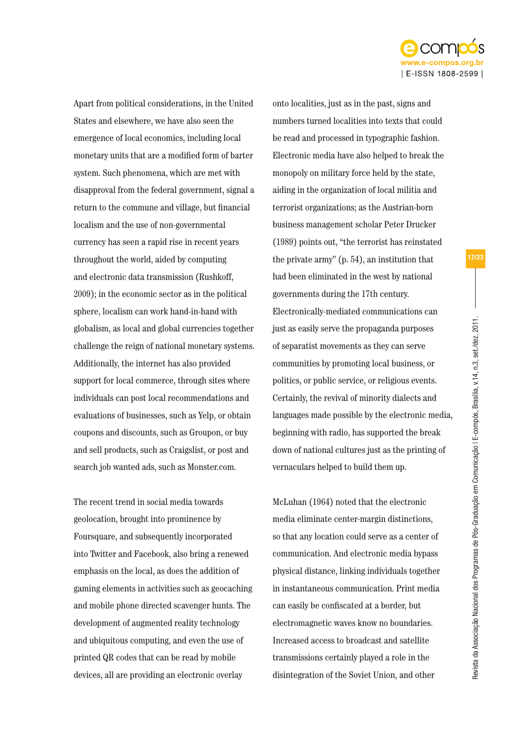

Apart from political considerations, in the United States and elsewhere, we have also seen the emergence of local economics, including local monetary units that are a modified form of barter system. Such phenomena, which are met with disapproval from the federal government, signal a return to the commune and village, but financial localism and the use of non-governmental currency has seen a rapid rise in recent years throughout the world, aided by computing and electronic data transmission (Rushkoff, 2009); in the economic sector as in the political sphere, localism can work hand-in-hand with globalism, as local and global currencies together challenge the reign of national monetary systems. Additionally, the internet has also provided support for local commerce, through sites where individuals can post local recommendations and evaluations of businesses, such as Yelp, or obtain coupons and discounts, such as Groupon, or buy and sell products, such as Craigslist, or post and search job wanted ads, such as Monster.com.

The recent trend in social media towards geolocation, brought into prominence by Foursquare, and subsequently incorporated into Twitter and Facebook, also bring a renewed emphasis on the local, as does the addition of gaming elements in activities such as geocaching and mobile phone directed scavenger hunts. The development of augmented reality technology and ubiquitous computing, and even the use of printed QR codes that can be read by mobile devices, all are providing an electronic overlay

onto localities, just as in the past, signs and numbers turned localities into texts that could be read and processed in typographic fashion. Electronic media have also helped to break the monopoly on military force held by the state, aiding in the organization of local militia and terrorist organizations; as the Austrian-born business management scholar Peter Drucker (1989) points out, "the terrorist has reinstated the private army" (p. 54), an institution that had been eliminated in the west by national governments during the 17th century. Electronically-mediated communications can just as easily serve the propaganda purposes of separatist movements as they can serve communities by promoting local business, or politics, or public service, or religious events. Certainly, the revival of minority dialects and languages made possible by the electronic media, beginning with radio, has supported the break down of national cultures just as the printing of vernaculars helped to build them up.

McLuhan (1964) noted that the electronic media eliminate center-margin distinctions, so that any location could serve as a center of communication. And electronic media bypass physical distance, linking individuals together in instantaneous communication. Print media can easily be confiscated at a border, but electromagnetic waves know no boundaries. Increased access to broadcast and satellite transmissions certainly played a role in the disintegration of the Soviet Union, and other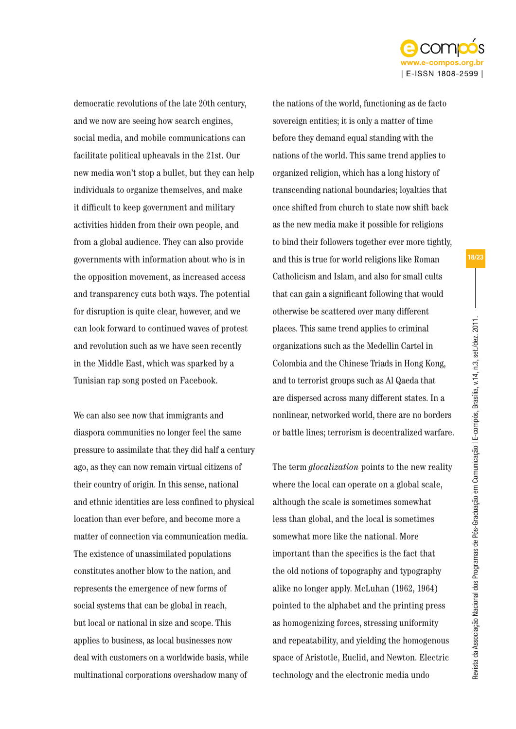

democratic revolutions of the late 20th century, and we now are seeing how search engines, social media, and mobile communications can facilitate political upheavals in the 21st. Our new media won't stop a bullet, but they can help individuals to organize themselves, and make it difficult to keep government and military activities hidden from their own people, and from a global audience. They can also provide governments with information about who is in the opposition movement, as increased access and transparency cuts both ways. The potential for disruption is quite clear, however, and we can look forward to continued waves of protest and revolution such as we have seen recently in the Middle East, which was sparked by a Tunisian rap song posted on Facebook.

We can also see now that immigrants and diaspora communities no longer feel the same pressure to assimilate that they did half a century ago, as they can now remain virtual citizens of their country of origin. In this sense, national and ethnic identities are less confined to physical location than ever before, and become more a matter of connection via communication media. The existence of unassimilated populations constitutes another blow to the nation, and represents the emergence of new forms of social systems that can be global in reach, but local or national in size and scope. This applies to business, as local businesses now deal with customers on a worldwide basis, while multinational corporations overshadow many of

the nations of the world, functioning as de facto sovereign entities; it is only a matter of time before they demand equal standing with the nations of the world. This same trend applies to organized religion, which has a long history of transcending national boundaries; loyalties that once shifted from church to state now shift back as the new media make it possible for religions to bind their followers together ever more tightly, and this is true for world religions like Roman Catholicism and Islam, and also for small cults that can gain a significant following that would otherwise be scattered over many different places. This same trend applies to criminal organizations such as the Medellin Cartel in Colombia and the Chinese Triads in Hong Kong, and to terrorist groups such as Al Qaeda that are dispersed across many different states. In a nonlinear, networked world, there are no borders or battle lines; terrorism is decentralized warfare.

The term *glocalization* points to the new reality where the local can operate on a global scale, although the scale is sometimes somewhat less than global, and the local is sometimes somewhat more like the national. More important than the specifics is the fact that the old notions of topography and typography alike no longer apply. McLuhan (1962, 1964) pointed to the alphabet and the printing press as homogenizing forces, stressing uniformity and repeatability, and yielding the homogenous space of Aristotle, Euclid, and Newton. Electric technology and the electronic media undo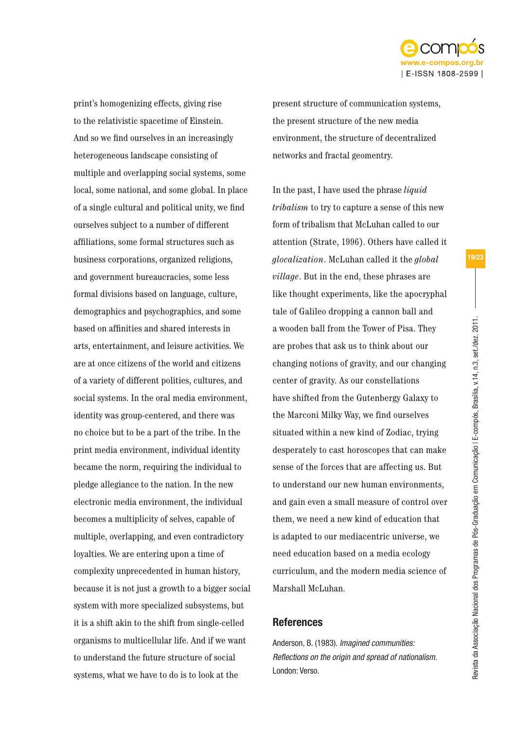

print's homogenizing effects, giving rise to the relativistic spacetime of Einstein. And so we find ourselves in an increasingly heterogeneous landscape consisting of multiple and overlapping social systems, some local, some national, and some global. In place of a single cultural and political unity, we find ourselves subject to a number of different affiliations, some formal structures such as business corporations, organized religions, and government bureaucracies, some less formal divisions based on language, culture, demographics and psychographics, and some based on affinities and shared interests in arts, entertainment, and leisure activities. We are at once citizens of the world and citizens of a variety of different polities, cultures, and social systems. In the oral media environment, identity was group-centered, and there was no choice but to be a part of the tribe. In the print media environment, individual identity became the norm, requiring the individual to pledge allegiance to the nation. In the new electronic media environment, the individual becomes a multiplicity of selves, capable of multiple, overlapping, and even contradictory loyalties. We are entering upon a time of complexity unprecedented in human history, because it is not just a growth to a bigger social system with more specialized subsystems, but it is a shift akin to the shift from single-celled organisms to multicellular life. And if we want to understand the future structure of social systems, what we have to do is to look at the

present structure of communication systems, the present structure of the new media environment, the structure of decentralized networks and fractal geomentry.

In the past, I have used the phrase *liquid tribalism* to try to capture a sense of this new form of tribalism that McLuhan called to our attention (Strate, 1996). Others have called it *glocalization*. McLuhan called it the *global village*. But in the end, these phrases are like thought experiments, like the apocryphal tale of Galileo dropping a cannon ball and a wooden ball from the Tower of Pisa. They are probes that ask us to think about our changing notions of gravity, and our changing center of gravity. As our constellations have shifted from the Gutenbergy Galaxy to the Marconi Milky Way, we find ourselves situated within a new kind of Zodiac, trying desperately to cast horoscopes that can make sense of the forces that are affecting us. But to understand our new human environments, and gain even a small measure of control over them, we need a new kind of education that is adapted to our mediacentric universe, we need education based on a media ecology curriculum, and the modern media science of Marshall McLuhan.

## **References**

Anderson, B. (1983). *Imagined communities: Reflections on the origin and spread of nationalism*. London: Verso.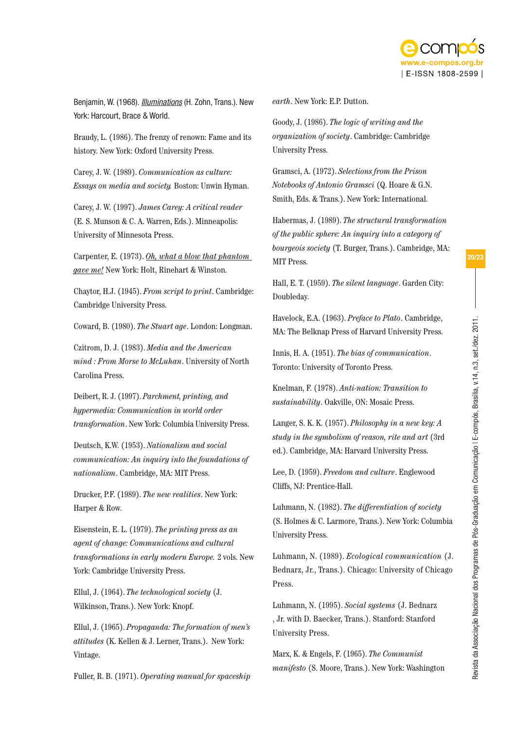

Benjamin, W. (1968). *Illuminations* (H. Zohn, Trans.). New York: Harcourt, Brace & World.

Braudy, L. (1986). The frenzy of renown: Fame and its history. New York: Oxford University Press.

Carey, J. W. (1989). *Communication as culture: Essays on media and society.* Boston: Unwin Hyman.

Carey, J. W. (1997). *James Carey: A critical reader* (E. S. Munson & C. A. Warren, Eds.). Minneapolis: University of Minnesota Press.

Carpenter, E. (1973). *Oh, what a blow that phantom gave me!* New York: Holt, Rinehart & Winston.

Chaytor, H.J. (1945). *From script to print*. Cambridge: Cambridge University Press.

Coward, B. (1980). *The Stuart age*. London: Longman.

Czitrom, D. J. (1983). *Media and the American mind : From Morse to McLuhan*. University of North Carolina Press.

Deibert, R. J. (1997). *Parchment, printing, and hypermedia: Communication in world order transformation*. New York: Columbia University Press.

Deutsch, K.W. (1953). *Nationalism and social communication: An inquiry into the foundations of nationalism*. Cambridge, MA: MIT Press.

Drucker, P.F. (1989). *The new realities*. New York: Harper & Row.

Eisenstein, E. L. (1979). *The printing press as an agent of change: Communications and cultural transformations in early modern Europe.* 2 vols. New York: Cambridge University Press.

Ellul, J. (1964). *The technological society* (J. Wilkinson, Trans.). New York: Knopf.

Ellul, J. (1965). *Propaganda: The formation of men's attitudes* (K. Kellen & J. Lerner, Trans.). New York: Vintage.

Fuller, R. B. (1971). *Operating manual for spaceship* 

*earth*. New York: E.P. Dutton.

Goody, J. (1986). *The logic of writing and the organization of society*. Cambridge: Cambridge University Press.

Gramsci, A. (1972). *Selections from the Prison Notebooks of Antonio Gramsci* (Q. Hoare & G.N. Smith, Eds. & Trans.). New York: International.

Habermas, J. (1989). *The structural transformation of the public sphere: An inquiry into a category of bourgeois society* (T. Burger, Trans.). Cambridge, MA: MIT Press.

Hall, E. T. (1959). *The silent language*. Garden City: Doubleday.

Havelock, E.A. (1963). *Preface to Plato*. Cambridge, MA: The Belknap Press of Harvard University Press.

Innis, H. A. (1951). *The bias of communication*. Toronto: University of Toronto Press.

Knelman, F. (1978). *Anti-nation: Transition to sustainability*. Oakville, ON: Mosaic Press.

Langer, S. K. K. (1957). *Philosophy in a new key: A study in the symbolism of reason, rite and art* (3rd ed.). Cambridge, MA: Harvard University Press.

Lee, D. (1959). *Freedom and culture*. Englewood Cliffs, NJ: Prentice-Hall.

Luhmann, N. (1982). *The differentiation of society* (S. Holmes & C. Larmore, Trans.). New York: Columbia University Press.

Luhmann, N. (1989). *Ecological communication* (J. Bednarz, Jr., Trans.). Chicago: University of Chicago Press.

Luhmann, N. (1995). *Social systems* (J. Bednarz , Jr. with D. Baecker, Trans.). Stanford: Stanford University Press.

Marx, K. & Engels, F. (1965). *The Communist manifesto* (S. Moore, Trans.). New York: Washington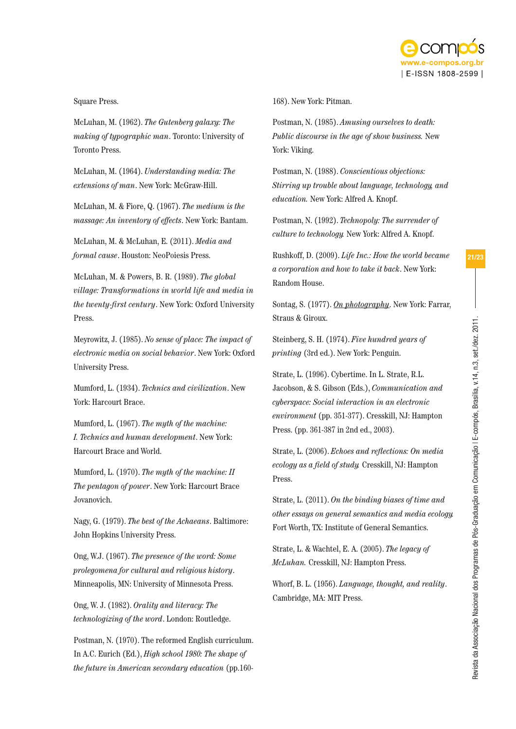

## Square Press.

McLuhan, M. (1962). *The Gutenberg galaxy: The making of typographic man*. Toronto: University of Toronto Press.

McLuhan, M. (1964). *Understanding media: The extensions of man*. New York: McGraw-Hill.

McLuhan, M. & Fiore, Q. (1967). *The medium is the massage: An inventory of effects*. New York: Bantam.

McLuhan, M. & McLuhan, E. (2011). *Media and formal cause*. Houston: NeoPoiesis Press.

McLuhan, M. & Powers, B. R. (1989). *The global village: Transformations in world life and media in the twenty-first century*. New York: Oxford University Press.

Meyrowitz, J. (1985). *No sense of place: The impact of electronic media on social behavior*. New York: Oxford University Press.

Mumford, L. (1934). *Technics and civilization*. New York: Harcourt Brace.

Mumford, L. (1967). *The myth of the machine: I. Technics and human development*. New York: Harcourt Brace and World.

Mumford, L. (1970). *The myth of the machine: II The pentagon of power*. New York: Harcourt Brace Jovanovich.

Nagy, G. (1979). *The best of the Achaeans*. Baltimore: John Hopkins University Press.

Ong, W.J. (1967). *The presence of the word: Some prolegomena for cultural and religious history*. Minneapolis, MN: University of Minnesota Press.

Ong, W. J. (1982). *Orality and literacy: The technologizing of the word*. London: Routledge.

Postman, N. (1970). The reformed English curriculum. In A.C. Eurich (Ed.), *High school 1980: The shape of the future in American secondary education* (pp.160168). New York: Pitman.

Postman, N. (1985). *Amusing ourselves to death: Public discourse in the age of show business.* New York: Viking.

Postman, N. (1988). *Conscientious objections: Stirring up trouble about language, technology, and education.* New York: Alfred A. Knopf.

Postman, N. (1992). *Technopoly: The surrender of culture to technology.* New York: Alfred A. Knopf.

Rushkoff, D. (2009). *Life Inc.: How the world became a corporation and how to take it back*. New York: Random House.

Sontag, S. (1977). *On photography*. New York: Farrar, Straus & Giroux.

Steinberg, S. H. (1974). *Five hundred years of printing* (3rd ed.). New York: Penguin.

Strate, L. (1996). Cybertime. In L. Strate, R.L. Jacobson, & S. Gibson (Eds.), *Communication and cyberspace: Social interaction in an electronic environment* (pp. 351-377). Cresskill, NJ: Hampton Press. (pp. 361-387 in 2nd ed., 2003).

Strate, L. (2006). *Echoes and reflections: On media ecology as a field of study.* Cresskill, NJ: Hampton Press.

Strate, L. (2011). *On the binding biases of time and other essays on general semantics and media ecology.* Fort Worth, TX: Institute of General Semantics.

Strate, L. & Wachtel, E. A. (2005). *The legacy of McLuhan.* Cresskill, NJ: Hampton Press.

Whorf, B. L. (1956). *Language, thought, and reality*. Cambridge, MA: MIT Press.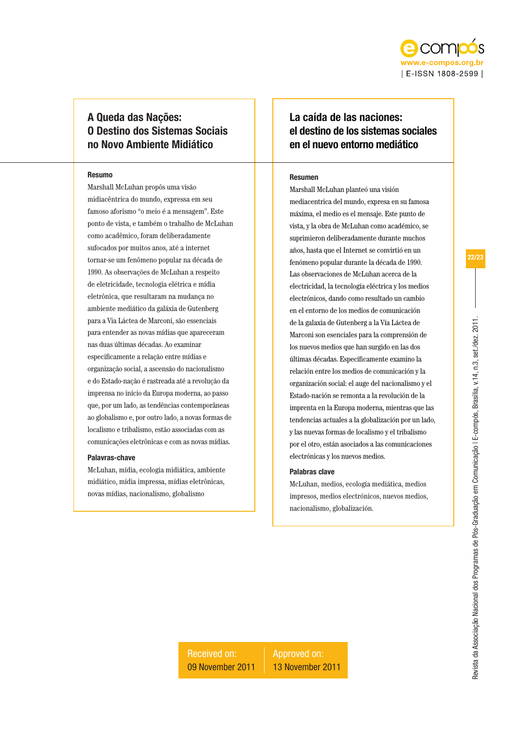

# A Queda das Nações: O Destino dos Sistemas Sociais no Novo Ambiente Midiático

#### Resumo

Marshall McLuhan propôs uma visão midiacêntrica do mundo, expressa em seu famoso aforismo "o meio é a mensagem". Este ponto de vista, e também o trabalho de McLuhan como acadêmico, foram deliberadamente sufocados por muitos anos, até a internet tornar-se um fenômeno popular na década de 1990. As observações de McLuhan a respeito de eletricidade, tecnologia elétrica e mídia eletrônica, que resultaram na mudança no ambiente mediático da galáxia de Gutenberg para a Via Láctea de Marconi, são essenciais para entender as novas mídias que apareceram nas duas últimas décadas. Ao examinar especificamente a relação entre mídias e organização social, a ascensão do nacionalismo e do Estado-nação é rastreada até a revolução da imprensa no início da Europa moderna, ao passo que, por um lado, as tendências contemporâneas ao globalismo e, por outro lado, a novas formas de localismo e tribalismo, estão associadas com as comunicações eletrônicas e com as novas mídias.

#### Palavras-chave

McLuhan, mídia, ecologia midiática, ambiente midiático, mídia impressa, mídias eletrônicas, novas mídias, nacionalismo, globalismo

# La caída de las naciones: el destino de los sistemas sociales en el nuevo entorno mediático

#### Resumen

Marshall McLuhan planteó una visión mediacentrica del mundo, expresa en su famosa máxima, el medio es el mensaje. Este punto de vista, y la obra de McLuhan como académico, se suprimieron deliberadamente durante muchos años, hasta que el Internet se convirtió en un fenómeno popular durante la década de 1990. Las observaciones de McLuhan acerca de la electricidad, la tecnología eléctrica y los medios electrónicos, dando como resultado un cambio en el entorno de los medios de comunicación de la galaxia de Gutenberg a la Vía Láctea de Marconi son esenciales para la comprensión de los nuevos medios que han surgido en las dos últimas décadas. Específicamente examino la relación entre los medios de comunicación y la organización social: el auge del nacionalismo y el Estado-nación se remonta a la revolución de la imprenta en la Europa moderna, mientras que las tendencias actuales a la globalización por un lado, y las nuevas formas de localismo y el tribalismo por el otro, están asociados a las comunicaciones electrónicas y los nuevos medios.

## Palabras clave

McLuhan, medios, ecología mediática, medios impresos, medios electrónicos, nuevos medios, nacionalismo, globalización.

Received on: 09 November 2011 Approved on: 13 November 2011